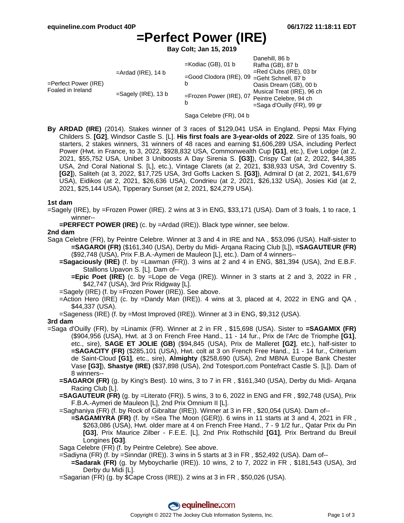## **=Perfect Power (IRE)**

**Bay Colt; Jan 15, 2019**

| $=$ Ardad (IRE), 14 b<br>$=$ Perfect Power (IRE)<br>Foaled in Ireland<br>$=$ Sagely (IRE), 13 b | Danehill, 86 b<br>$=$ Kodiac (GB), 01 b<br>Rafha (GB), 87 b<br>$=$ Red Clubs (IRE), 03 br<br>=Good Clodora (IRE), 09 =Geht Schnell, 87 b<br>b<br>Oasis Dream (GB), 00 b<br>Musical Treat (IRE), 96 ch<br>$=$ Frozen Power (IRE), 07<br>Peintre Celebre, 94 ch<br>b<br>=Saga d'Ouilly (FR), 99 gr |
|-------------------------------------------------------------------------------------------------|--------------------------------------------------------------------------------------------------------------------------------------------------------------------------------------------------------------------------------------------------------------------------------------------------|
|-------------------------------------------------------------------------------------------------|--------------------------------------------------------------------------------------------------------------------------------------------------------------------------------------------------------------------------------------------------------------------------------------------------|

- Saga Celebre (FR), 04 b
- **By ARDAD (IRE)** (2014). Stakes winner of 3 races of \$129,041 USA in England, Pepsi Max Flying Childers S. **[G2]**, Windsor Castle S. [L]. **His first foals are 3-year-olds of 2022**. Sire of 135 foals, 90 starters, 2 stakes winners, 31 winners of 48 races and earning \$1,606,289 USA, including Perfect Power (Hwt. in France, to 3, 2022, \$928,832 USA, Commonwealth Cup **[G1]**, etc.), Eve Lodge (at 2, 2021, \$55,752 USA, Unibet 3 Uniboosts A Day Sirenia S. **[G3]**), Crispy Cat (at 2, 2022, \$44,385 USA, 2nd Coral National S. [L], etc.), Vintage Clarets (at 2, 2021, \$38,933 USA, 3rd Coventry S. **[G2]**), Saliteh (at 3, 2022, \$17,725 USA, 3rd Goffs Lacken S. **[G3]**), Admiral D (at 2, 2021, \$41,679 USA), Eidikos (at 2, 2021, \$26,636 USA), Condrieu (at 2, 2021, \$26,132 USA), Josies Kid (at 2, 2021, \$25,144 USA), Tipperary Sunset (at 2, 2021, \$24,279 USA).

#### **1st dam**

=Sagely (IRE), by =Frozen Power (IRE). 2 wins at 3 in ENG, \$33,171 (USA). Dam of 3 foals, 1 to race, 1 winner--

**=PERFECT POWER (IRE)** (c. by =Ardad (IRE)). Black type winner, see below.

#### **2nd dam**

Saga Celebre (FR), by Peintre Celebre. Winner at 3 and 4 in IRE and NA , \$53,096 (USA). Half-sister to **=SAGAROI (FR)** (\$161,340 (USA), Derby du Midi- Arqana Racing Club [L]), **=SAGAUTEUR (FR)** (\$92,748 (USA), Prix F.B.A.-Aymeri de Mauleon [L], etc.). Dam of 4 winners--

**=Sagaciously (IRE)** (f. by =Lawman (FR)). 3 wins at 2 and 4 in ENG, \$81,394 (USA), 2nd E.B.F. Stallions Upavon S. [L]. Dam of--

**=Epic Poet (IRE)** (c. by =Lope de Vega (IRE)). Winner in 3 starts at 2 and 3, 2022 in FR , \$42,747 (USA), 3rd Prix Ridgway [L].

=Sagely (IRE) (f. by =Frozen Power (IRE)). See above.

=Action Hero (IRE) (c. by =Dandy Man (IRE)). 4 wins at 3, placed at 4, 2022 in ENG and QA, \$44,337 (USA).

=Sageness (IRE) (f. by =Most Improved (IRE)). Winner at 3 in ENG, \$9,312 (USA).

#### **3rd dam**

=Saga d'Ouilly (FR), by =Linamix (FR). Winner at 2 in FR , \$15,698 (USA). Sister to **=SAGAMIX (FR)** (\$904,956 (USA), Hwt. at 3 on French Free Hand., 11 - 14 fur., Prix de l'Arc de Triomphe **[G1]**, etc., sire), **SAGE ET JOLIE (GB)** (\$94,845 (USA), Prix de Malleret **[G2]**, etc.), half-sister to **=SAGACITY (FR)** (\$285,101 (USA), Hwt. colt at 3 on French Free Hand., 11 - 14 fur., Criterium de Saint-Cloud **[G1]**, etc., sire), **Almighty** (\$258,690 (USA), 2nd MBNA Europe Bank Chester Vase **[G3]**), **Shastye (IRE)** (\$37,898 (USA), 2nd Totesport.com Pontefract Castle S. [L]). Dam of 8 winners--

**=SAGAROI (FR)** (g. by King's Best). 10 wins, 3 to 7 in FR , \$161,340 (USA), Derby du Midi- Arqana Racing Club [L].

**=SAGAUTEUR (FR)** (g. by =Literato (FR)). 5 wins, 3 to 6, 2022 in ENG and FR , \$92,748 (USA), Prix F.B.A.-Aymeri de Mauleon [L], 2nd Prix Omnium II [L].

=Saghaniya (FR) (f. by Rock of Gibraltar (IRE)). Winner at 3 in FR , \$20,054 (USA). Dam of--

**=SAGAMIYRA (FR)** (f. by =Sea The Moon (GER)). 6 wins in 11 starts at 3 and 4, 2021 in FR , \$263,086 (USA), Hwt. older mare at 4 on French Free Hand., 7 - 9 1/2 fur., Qatar Prix du Pin **[G3]**, Prix Maurice Zilber - F.E.E. [L], 2nd Prix Rothschild **[G1]**, Prix Bertrand du Breuil Longines **[G3]**.

Saga Celebre (FR) (f. by Peintre Celebre). See above.

=Sadiyna (FR) (f. by =Sinndar (IRE)). 3 wins in 5 starts at 3 in FR , \$52,492 (USA). Dam of--

- **=Sadarak (FR)** (g. by Myboycharlie (IRE)). 10 wins, 2 to 7, 2022 in FR , \$181,543 (USA), 3rd Derby du Midi [L].
- =Sagarian (FR) (g. by \$Cape Cross (IRE)). 2 wins at 3 in FR , \$50,026 (USA).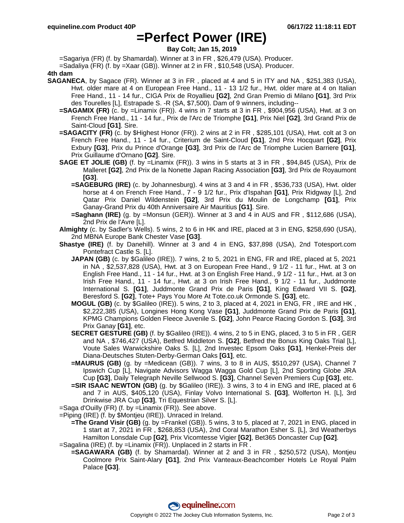### **=Perfect Power (IRE)**

**Bay Colt; Jan 15, 2019**

=Sagariya (FR) (f. by Shamardal). Winner at 3 in FR , \$26,479 (USA). Producer.

=Sadaliya (FR) (f. by =Xaar (GB)). Winner at 2 in FR , \$10,548 (USA). Producer.

**4th dam**

- **SAGANECA**, by Sagace (FR). Winner at 3 in FR , placed at 4 and 5 in ITY and NA , \$251,383 (USA), Hwt. older mare at 4 on European Free Hand., 11 - 13 1/2 fur., Hwt. older mare at 4 on Italian Free Hand., 11 - 14 fur., CIGA Prix de Royallieu **[G2]**, 2nd Gran Premio di Milano **[G1]**, 3rd Prix des Tourelles [L], Estrapade S. -R (SA, \$7,500). Dam of 9 winners, including--
	- **=SAGAMIX (FR)** (c. by =Linamix (FR)). 4 wins in 7 starts at 3 in FR , \$904,956 (USA), Hwt. at 3 on French Free Hand., 11 - 14 fur., Prix de l'Arc de Triomphe **[G1]**, Prix Niel **[G2]**, 3rd Grand Prix de Saint-Cloud **[G1]**. Sire.
	- **=SAGACITY (FR)** (c. by \$Highest Honor (FR)). 2 wins at 2 in FR , \$285,101 (USA), Hwt. colt at 3 on French Free Hand., 11 - 14 fur., Criterium de Saint-Cloud **[G1]**, 2nd Prix Hocquart **[G2]**, Prix Exbury **[G3]**, Prix du Prince d'Orange **[G3]**, 3rd Prix de l'Arc de Triomphe Lucien Barriere **[G1]**, Prix Guillaume d'Ornano **[G2]**. Sire.
	- **SAGE ET JOLIE (GB)** (f. by =Linamix (FR)). 3 wins in 5 starts at 3 in FR , \$94,845 (USA), Prix de Malleret **[G2]**, 2nd Prix de la Nonette Japan Racing Association **[G3]**, 3rd Prix de Royaumont **[G3]**.
		- **=SAGEBURG (IRE)** (c. by Johannesburg). 4 wins at 3 and 4 in FR , \$536,733 (USA), Hwt. older horse at 4 on French Free Hand., 7 - 9 1/2 fur., Prix d'Ispahan **[G1]**, Prix Ridgway [L], 2nd Qatar Prix Daniel Wildenstein **[G2]**, 3rd Prix du Moulin de Longchamp **[G1]**, Prix Ganay-Grand Prix du 40th Anniversaire Air Mauritius **[G1]**. Sire.
		- **=Saghann (IRE)** (g. by =Monsun (GER)). Winner at 3 and 4 in AUS and FR , \$112,686 (USA), 2nd Prix de l'Avre [L].
	- **Almighty** (c. by Sadler's Wells). 5 wins, 2 to 6 in HK and IRE, placed at 3 in ENG, \$258,690 (USA), 2nd MBNA Europe Bank Chester Vase **[G3]**.
	- **Shastye (IRE)** (f. by Danehill). Winner at 3 and 4 in ENG, \$37,898 (USA), 2nd Totesport.com Pontefract Castle S. [L].
		- **JAPAN (GB)** (c. by \$Galileo (IRE)). 7 wins, 2 to 5, 2021 in ENG, FR and IRE, placed at 5, 2021 in NA , \$2,537,828 (USA), Hwt. at 3 on European Free Hand., 9 1/2 - 11 fur., Hwt. at 3 on English Free Hand., 11 - 14 fur., Hwt. at 3 on English Free Hand., 9 1/2 - 11 fur., Hwt. at 3 on Irish Free Hand., 11 - 14 fur., Hwt. at 3 on Irish Free Hand., 9 1/2 - 11 fur., Juddmonte International S. **[G1]**, Juddmonte Grand Prix de Paris **[G1]**, King Edward VII S. **[G2]**, Beresford S. **[G2]**, Tote+ Pays You More At Tote.co.uk Ormonde S. **[G3]**, etc.
		- **MOGUL (GB)** (c. by \$Galileo (IRE)). 5 wins, 2 to 3, placed at 4, 2021 in ENG, FR , IRE and HK , \$2,222,385 (USA), Longines Hong Kong Vase **[G1]**, Juddmonte Grand Prix de Paris **[G1]**, KPMG Champions Golden Fleece Juvenile S. **[G2]**, John Pearce Racing Gordon S. **[G3]**, 3rd Prix Ganay **[G1]**, etc.
		- **SECRET GESTURE (GB)** (f. by \$Galileo (IRE)). 4 wins, 2 to 5 in ENG, placed, 3 to 5 in FR , GER and NA , \$746,427 (USA), Betfred Middleton S. **[G2]**, Betfred the Bonus King Oaks Trial [L], Voute Sales Warwickshire Oaks S. [L], 2nd Investec Epsom Oaks **[G1]**, Henkel-Preis der Diana-Deutsches Stuten-Derby-German Oaks **[G1]**, etc.
		- **=MAURUS (GB)** (g. by =Medicean (GB)). 7 wins, 3 to 8 in AUS, \$510,297 (USA), Channel 7 Ipswich Cup [L], Navigate Advisors Wagga Wagga Gold Cup [L], 2nd Sporting Globe JRA Cup **[G3]**, Daily Telegraph Neville Sellwood S. **[G3]**, Channel Seven Premiers Cup **[G3]**, etc.
		- **=SIR ISAAC NEWTON (GB)** (g. by \$Galileo (IRE)). 3 wins, 3 to 4 in ENG and IRE, placed at 6 and 7 in AUS, \$405,120 (USA), Finlay Volvo International S. **[G3]**, Wolferton H. [L], 3rd Drinkwise JRA Cup **[G3]**, Tri Equestrian Silver S. [L].
	- =Saga d'Ouilly (FR) (f. by =Linamix (FR)). See above.
	- =Piping (IRE) (f. by \$Montjeu (IRE)). Unraced in Ireland.
	- **=The Grand Visir (GB)** (g. by =Frankel (GB)). 5 wins, 3 to 5, placed at 7, 2021 in ENG, placed in 1 start at 7, 2021 in FR , \$268,853 (USA), 2nd Coral Marathon Esher S. [L], 3rd Weatherbys Hamilton Lonsdale Cup **[G2]**, Prix Vicomtesse Vigier **[G2]**, Bet365 Doncaster Cup **[G2]**. =Sagalina (IRE) (f. by =Linamix (FR)). Unplaced in 2 starts in FR .
		- **=SAGAWARA (GB)** (f. by Shamardal). Winner at 2 and 3 in FR , \$250,572 (USA), Montjeu Coolmore Prix Saint-Alary **[G1]**, 2nd Prix Vanteaux-Beachcomber Hotels Le Royal Palm Palace **[G3]**.